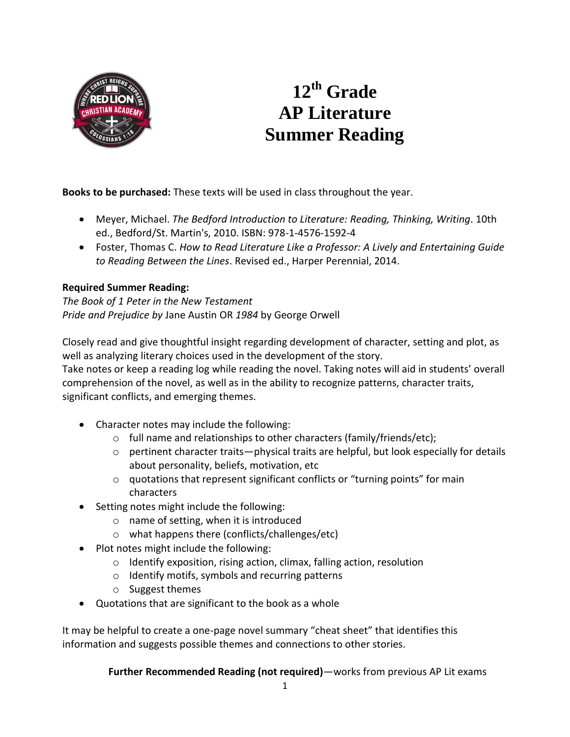

## **12 th Grade AP Literature Summer Reading**

**Books to be purchased:** These texts will be used in class throughout the year.

- Meyer, Michael. *The Bedford Introduction to Literature: Reading, Thinking, Writing*. 10th ed., Bedford/St. Martin's, 2010. ISBN: 978-1-4576-1592-4
- Foster, Thomas C. *How to Read Literature Like a Professor: A Lively and Entertaining Guide to Reading Between the Lines*. Revised ed., Harper Perennial, 2014.

## **Required Summer Reading:**

*The Book of 1 Peter in the New Testament Pride and Prejudice by* Jane Austin OR *1984* by George Orwell

Closely read and give thoughtful insight regarding development of character, setting and plot, as well as analyzing literary choices used in the development of the story.

Take notes or keep a reading log while reading the novel. Taking notes will aid in students' overall comprehension of the novel, as well as in the ability to recognize patterns, character traits, significant conflicts, and emerging themes.

- Character notes may include the following:
	- o full name and relationships to other characters (family/friends/etc);
	- $\circ$  pertinent character traits—physical traits are helpful, but look especially for details about personality, beliefs, motivation, etc
	- o quotations that represent significant conflicts or "turning points" for main characters
- Setting notes might include the following:
	- o name of setting, when it is introduced
	- o what happens there (conflicts/challenges/etc)
- Plot notes might include the following:
	- o Identify exposition, rising action, climax, falling action, resolution
	- o Identify motifs, symbols and recurring patterns
	- o Suggest themes
- Quotations that are significant to the book as a whole

It may be helpful to create a one-page novel summary "cheat sheet" that identifies this information and suggests possible themes and connections to other stories.

**Further Recommended Reading (not required)**—works from previous AP Lit exams